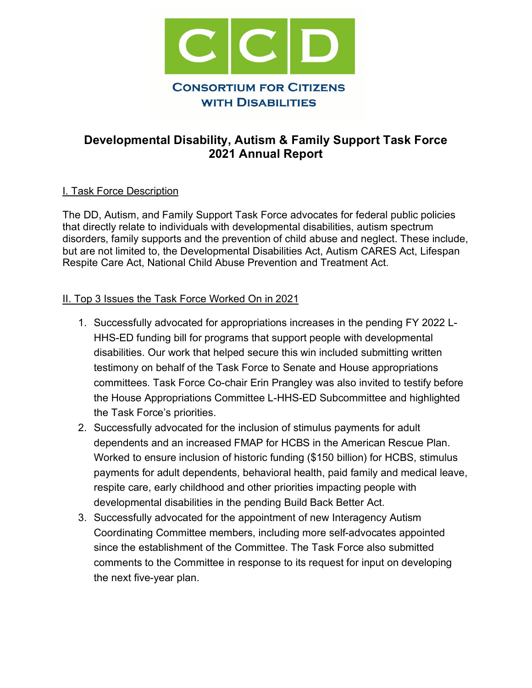

# **Developmental Disability, Autism & Family Support Task Force 2021 Annual Report**

#### I. Task Force Description

The DD, Autism, and Family Support Task Force advocates for federal public policies that directly relate to individuals with developmental disabilities, autism spectrum disorders, family supports and the prevention of child abuse and neglect. These include, but are not limited to, the Developmental Disabilities Act, Autism CARES Act, Lifespan Respite Care Act, National Child Abuse Prevention and Treatment Act.

#### II. Top 3 Issues the Task Force Worked On in 2021

- 1. Successfully advocated for appropriations increases in the pending FY 2022 L-HHS-ED funding bill for programs that support people with developmental disabilities. Our work that helped secure this win included submitting written testimony on behalf of the Task Force to Senate and House appropriations committees. Task Force Co-chair Erin Prangley was also invited to testify before the House Appropriations Committee L-HHS-ED Subcommittee and highlighted the Task Force's priorities.
- 2. Successfully advocated for the inclusion of stimulus payments for adult dependents and an increased FMAP for HCBS in the American Rescue Plan. Worked to ensure inclusion of historic funding (\$150 billion) for HCBS, stimulus payments for adult dependents, behavioral health, paid family and medical leave, respite care, early childhood and other priorities impacting people with developmental disabilities in the pending Build Back Better Act.
- 3. Successfully advocated for the appointment of new Interagency Autism Coordinating Committee members, including more self-advocates appointed since the establishment of the Committee. The Task Force also submitted comments to the Committee in response to its request for input on developing the next five-year plan.